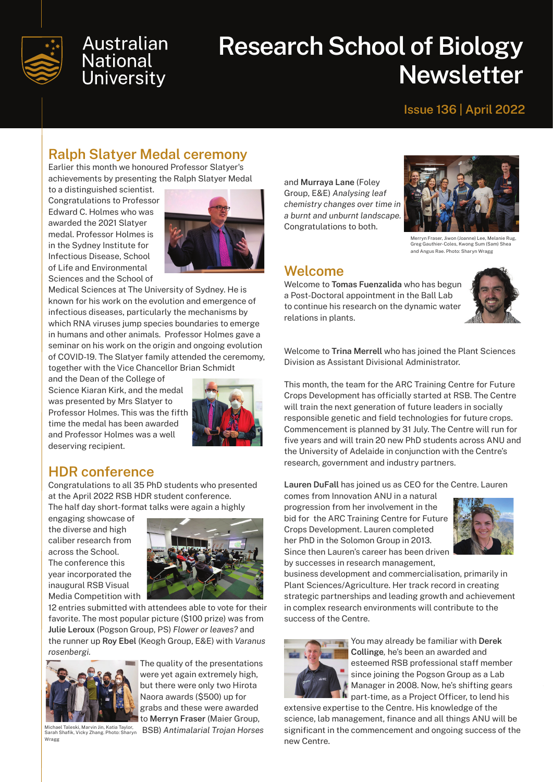

## **Australian National University**

# **Research School of Biology Newsletter**

#### **Issue 136 | April 2022**

## **Ralph Slatyer Medal ceremony**

Earlier this month we honoured Professor Slatyer's achievements by presenting the Ralph Slatyer Medal

to a distinguished scientist. Congratulations to Professor Edward C. Holmes who was awarded the 2021 Slatyer medal. Professor Holmes is in the Sydney Institute for Infectious Disease, School of Life and Environmental Sciences and the School of



Medical Sciences at The University of Sydney. He is known for his work on the evolution and emergence of infectious diseases, particularly the mechanisms by which RNA viruses jump species boundaries to emerge in humans and other animals. Professor Holmes gave a seminar on his work on the origin and ongoing evolution of COVID-19. The Slatyer family attended the ceremomy, together with the Vice Chancellor Brian Schmidt

and the Dean of the College of Science Kiaran Kirk, and the medal was presented by Mrs Slatyer to Professor Holmes. This was the fifth time the medal has been awarded and Professor Holmes was a well deserving recipient.



#### **HDR conference**

Congratulations to all 35 PhD students who presented at the April 2022 RSB HDR student conference. The half day short-format talks were again a highly

engaging showcase of the diverse and high caliber research from across the School. The conference this year incorporated the inaugural RSB Visual Media Competition with



12 entries submitted with attendees able to vote for their favorite. The most popular picture (\$100 prize) was from **Julie Leroux** (Pogson Group, PS) *Flower or leaves?* and the runner up **Roy Ebel** (Keogh Group, E&E) with *Varanus rosenbergi.*



The quality of the presentations were yet again extremely high, but there were only two Hirota Naora awards (\$500) up for grabs and these were awarded to **Merryn Fraser** (Maier Group, Michael Taleski, Marvin Jin, Katia Taylor, BSB) Antimalarial Trojan Horses<br><sub>Sarah Shafik, Vicky Zhang. Photo: Sharyn BSB) Antimalarial Trojan Horses</sub> and **Murraya Lane** (Foley Group, E&E) *Analysing leaf chemistry changes over time in a burnt and unburnt landscape.* Congratulations to both.



Merryn Fraser, Jiwon (Joanne) Lee, Melanie Rug, Greg Gauthier-Coles, Kwong Sum (Sam) Shea and Angus Rae. Photo: Sharyn Wragg

#### **Welcome**

Welcome to **Tomas Fuenzalida** who has begun a Post-Doctoral appointment in the Ball Lab to continue his research on the dynamic water relations in plants.



Welcome to **Trina Merrell** who has joined the Plant Sciences Division as Assistant Divisional Administrator.

This month, the team for the ARC Training Centre for Future Crops Development has officially started at RSB. The Centre will train the next generation of future leaders in socially responsible genetic and field technologies for future crops. Commencement is planned by 31 July. The Centre will run for five years and will train 20 new PhD students across ANU and the University of Adelaide in conjunction with the Centre's research, government and industry partners.

**Lauren DuFall** has joined us as CEO for the Centre. Lauren

comes from Innovation ANU in a natural progression from her involvement in the bid for the ARC Training Centre for Future Crops Development. Lauren completed her PhD in the Solomon Group in 2013. Since then Lauren's career has been driven by successes in research management,



business development and commercialisation, primarily in Plant Sciences/Agriculture. Her track record in creating strategic partnerships and leading growth and achievement in complex research environments will contribute to the success of the Centre.



You may already be familiar with **Derek Collinge***,* he's been an awarded and esteemed RSB professional staff member since joining the Pogson Group as a Lab Manager in 2008. Now, he's shifting gears **h** part-time, as a Project Officer, to lend his

extensive expertise to the Centre. His knowledge of the science, lab management, finance and all things ANU will be significant in the commencement and ongoing success of the new Centre.

Wragg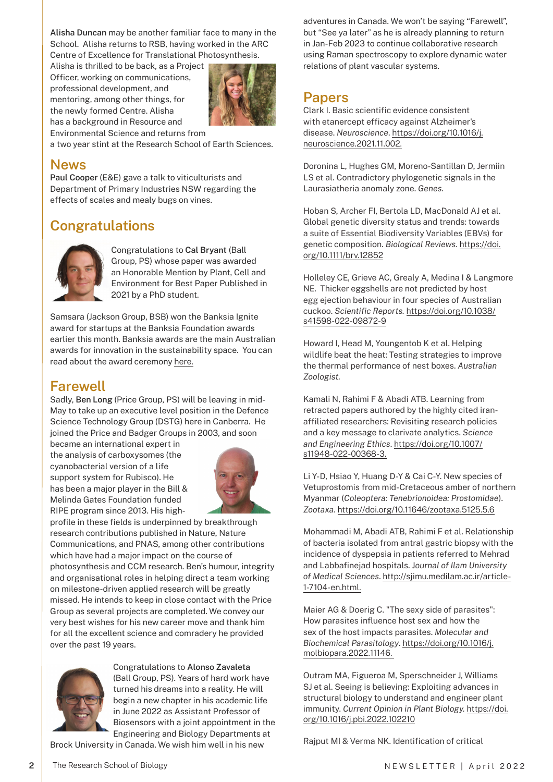**Alisha Duncan** may be another familiar face to many in the School. Alisha returns to RSB, having worked in the ARC Centre of Excellence for Translational Photosynthesis.

Alisha is thrilled to be back, as a Project Officer, working on communications, professional development, and mentoring, among other things, for the newly formed Centre. Alisha has a background in Resource and Environmental Science and returns from



a two year stint at the Research School of Earth Sciences.

#### **News**

**Paul Cooper** (E&E) gave a talk to viticulturists and Department of Primary Industries NSW regarding the effects of scales and mealy bugs on vines.

### **Congratulations**



Congratulations to **Cal Bryant** (Ball Group, PS) whose paper was awarded an Honorable Mention by Plant, Cell and Environment for Best Paper Published in 2021 by a PhD student.

Samsara (Jackson Group, BSB) won the Banksia Ignite award for startups at the Banksia Foundation awards earlier this month. Banksia awards are the main Australian awards for innovation in the sustainability space. You can read about the award ceremony [here.](https://www.einnews.com/pr_news/567064243/banksia-sustainability-award-winners-herald-a-bright-future-for-australia)

#### **Farewell**

Sadly, **Ben Long** (Price Group, PS) will be leaving in mid-May to take up an executive level position in the Defence Science Technology Group (DSTG) here in Canberra. He joined the Price and Badger Groups in 2003, and soon

became an international expert in the analysis of carboxysomes (the cyanobacterial version of a life support system for Rubisco). He has been a major player in the Bill & Melinda Gates Foundation funded RIPE program since 2013. His high-



profile in these fields is underpinned by breakthrough research contributions published in Nature, Nature Communications, and PNAS, among other contributions which have had a major impact on the course of photosynthesis and CCM research. Ben's humour, integrity and organisational roles in helping direct a team working on milestone-driven applied research will be greatly missed. He intends to keep in close contact with the Price Group as several projects are completed. We convey our very best wishes for his new career move and thank him for all the excellent science and comradery he provided over the past 19 years.



**2**

Congratulations to **Alonso Zavaleta**  (Ball Group, PS). Years of hard work have turned his dreams into a reality. He will begin a new chapter in his academic life in June 2022 as Assistant Professor of Biosensors with a joint appointment in the Engineering and Biology Departments at

Brock University in Canada. We wish him well in his new

adventures in Canada. We won't be saying "Farewell", but "See ya later" as he is already planning to return in Jan-Feb 2023 to continue collaborative research using Raman spectroscopy to explore dynamic water relations of plant vascular systems.

#### **Papers**

Clark I. Basic scientific evidence consistent with etanercept efficacy against Alzheimer's disease. *Neuroscience*. [https://doi.org/10.1016/j.](https://doi.org/10.1016/j.neuroscience.2021.11.002.) [neuroscience.2021.11.002.](https://doi.org/10.1016/j.neuroscience.2021.11.002.)

Doronina L, Hughes GM, Moreno-Santillan D, Jermiin LS et al. Contradictory phylogenetic signals in the Laurasiatheria anomaly zone. *Genes.*

Hoban S, Archer FI, Bertola LD, MacDonald AJ et al. Global genetic diversity status and trends: towards a suite of Essential Biodiversity Variables (EBVs) for genetic composition. *Biological Reviews.* [https://doi.](https://doi.org/10.1111/brv.12852 ) [org/10.1111/brv.12852](https://doi.org/10.1111/brv.12852 )

Holleley CE, Grieve AC, Grealy A, Medina I & Langmore NE. Thicker eggshells are not predicted by host egg ejection behaviour in four species of Australian cuckoo. *Scientific Reports.* [https://doi.org/10.1038/](https://doi.org/10.1038/s41598-022-09872-9 ) [s41598-022-09872-9](https://doi.org/10.1038/s41598-022-09872-9 )

Howard I, Head M, Youngentob K et al. Helping wildlife beat the heat: Testing strategies to improve the thermal performance of nest boxes. *Australian Zoologist.*

Kamali N, Rahimi F & Abadi ATB. Learning from retracted papers authored by the highly cited iranaffiliated researchers: Revisiting research policies and a key message to clarivate analytics. *Science and Engineering Ethics*. [https://doi.org/10.1007/](https://doi.org/10.1007/s11948-022-00368-3. ) [s11948-022-00368-3.](https://doi.org/10.1007/s11948-022-00368-3. )

Li Y-D, Hsiao Y, Huang D-Y & Cai C-Y. New species of Vetuprostomis from mid-Cretaceous amber of northern Myanmar (*Coleoptera: Tenebrionoidea: Prostomidae*). *Zootaxa.* [https://doi.org/10.11646/zootaxa.5125.5.6](https://doi.org/10.11646/zootaxa.5125.5.6 )

Mohammadi M, Abadi ATB, Rahimi F et al. Relationship of bacteria isolated from antral gastric biopsy with the incidence of dyspepsia in patients referred to Mehrad and Labbafinejad hospitals. J*ournal of Ilam University of Medical Sciences*. [http://sjimu.medilam.ac.ir/article-](http://sjimu.medilam.ac.ir/article-1-7104-en.html. )[1-7104-en.html.](http://sjimu.medilam.ac.ir/article-1-7104-en.html. )

Maier AG & Doerig C. "The sexy side of parasites": How parasites influence host sex and how the sex of the host impacts parasites. *Molecular and Biochemical Parasitology*. [https://doi.org/10.1016/j.](https://doi.org/10.1016/j.molbiopara.2022.11146.  ) [molbiopara.2022.11146.](https://doi.org/10.1016/j.molbiopara.2022.11146.  ) 

Outram MA, Figueroa M, Sperschneider J, Williams SJ et al. Seeing is believing: Exploiting advances in structural biology to understand and engineer plant immunity. *Current Opinion in Plant Biology.* [https://doi.](https://doi.org/10.1016/j.pbi.2022.102210 ) [org/10.1016/j.pbi.2022.102210](https://doi.org/10.1016/j.pbi.2022.102210 )

Rajput MI & Verma NK. Identification of critical